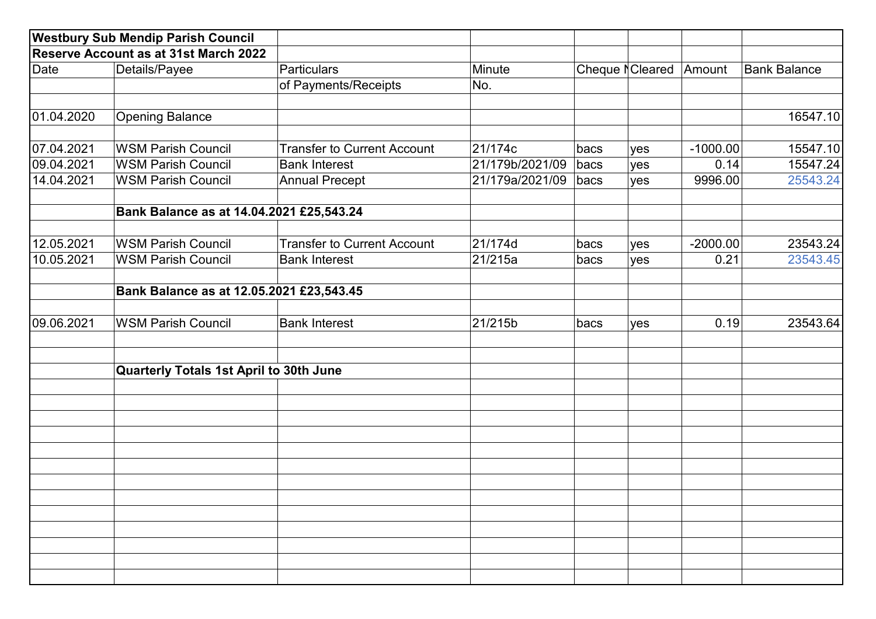|                                       | <b>Westbury Sub Mendip Parish Council</b> |                                    |                 |                             |     |            |                     |
|---------------------------------------|-------------------------------------------|------------------------------------|-----------------|-----------------------------|-----|------------|---------------------|
| Reserve Account as at 31st March 2022 |                                           |                                    |                 |                             |     |            |                     |
| Date                                  | Details/Payee                             | Particulars                        | Minute          | Cheque <sub>N</sub> Cleared |     | Amount     | <b>Bank Balance</b> |
|                                       |                                           | of Payments/Receipts               | No.             |                             |     |            |                     |
| 01.04.2020                            | <b>Opening Balance</b>                    |                                    |                 |                             |     |            | 16547.10            |
| 07.04.2021                            | <b>WSM Parish Council</b>                 | <b>Transfer to Current Account</b> | 21/174c         | bacs                        | yes | $-1000.00$ | 15547.10            |
| 09.04.2021                            | <b>WSM Parish Council</b>                 | <b>Bank Interest</b>               | 21/179b/2021/09 | bacs                        | yes | 0.14       | 15547.24            |
| 14.04.2021                            | <b>WSM Parish Council</b>                 | <b>Annual Precept</b>              | 21/179a/2021/09 | bacs                        | yes | 9996.00    | 25543.24            |
|                                       | Bank Balance as at 14.04.2021 £25,543.24  |                                    |                 |                             |     |            |                     |
| 12.05.2021                            | <b>WSM Parish Council</b>                 | <b>Transfer to Current Account</b> | 21/174d         | bacs                        | yes | $-2000.00$ | 23543.24            |
| 10.05.2021                            | <b>WSM Parish Council</b>                 | <b>Bank Interest</b>               | 21/215a         |                             |     |            | 23543.45            |
|                                       | Bank Balance as at 12.05.2021 £23,543.45  |                                    |                 |                             |     |            |                     |
| 09.06.2021                            | <b>WSM Parish Council</b>                 | <b>Bank Interest</b>               | 21/215b         | bacs<br>yes                 |     | 0.19       | 23543.64            |
|                                       | Quarterly Totals 1st April to 30th June   |                                    |                 |                             |     |            |                     |
|                                       |                                           |                                    |                 |                             |     |            |                     |
|                                       |                                           |                                    |                 |                             |     |            |                     |
|                                       |                                           |                                    |                 |                             |     |            |                     |
|                                       |                                           |                                    |                 |                             |     |            |                     |
|                                       |                                           |                                    |                 |                             |     |            |                     |
|                                       |                                           |                                    |                 |                             |     |            |                     |
|                                       |                                           |                                    |                 |                             |     |            |                     |
|                                       |                                           |                                    |                 |                             |     |            |                     |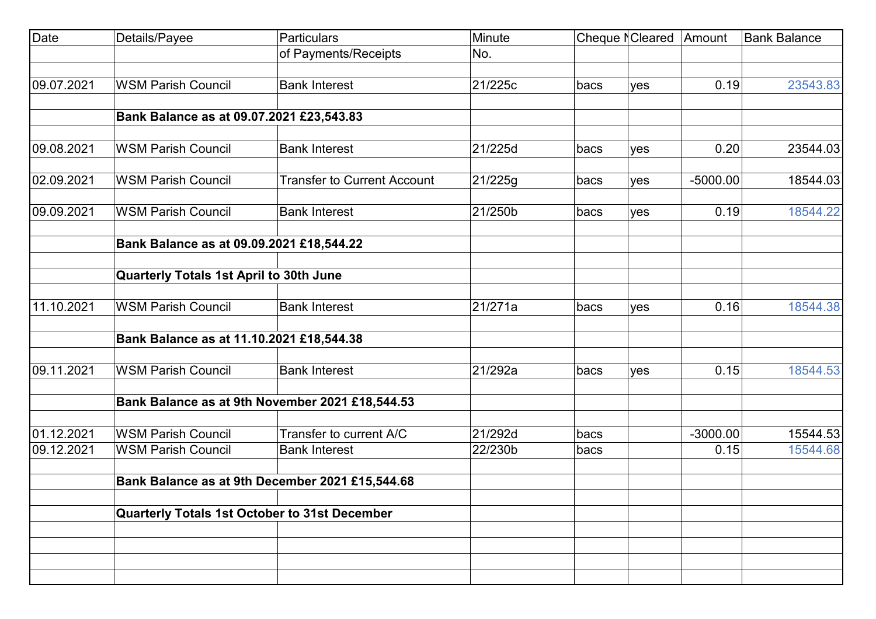| Date       | Details/Payee                                 | Particulars                                     | Minute  | Cheque NCleared |     | Amount     | <b>Bank Balance</b> |
|------------|-----------------------------------------------|-------------------------------------------------|---------|-----------------|-----|------------|---------------------|
|            |                                               | of Payments/Receipts                            | No.     |                 |     |            |                     |
|            |                                               |                                                 |         |                 |     |            |                     |
| 09.07.2021 | <b>WSM Parish Council</b>                     | <b>Bank Interest</b>                            | 21/225c | bacs            | yes | 0.19       | 23543.83            |
|            | Bank Balance as at 09.07.2021 £23,543.83      |                                                 |         |                 |     |            |                     |
|            |                                               |                                                 |         |                 |     |            |                     |
| 09.08.2021 | <b>WSM Parish Council</b>                     | <b>Bank Interest</b>                            | 21/225d | bacs            | yes | 0.20       | 23544.03            |
| 02.09.2021 | <b>WSM Parish Council</b>                     | <b>Transfer to Current Account</b>              | 21/225g | bacs            | yes | $-5000.00$ | 18544.03            |
| 09.09.2021 | <b>WSM Parish Council</b>                     | <b>Bank Interest</b>                            | 21/250b | bacs            | yes | 0.19       | 18544.22            |
|            | Bank Balance as at 09.09.2021 £18,544.22      |                                                 |         |                 |     |            |                     |
|            | Quarterly Totals 1st April to 30th June       |                                                 |         |                 |     |            |                     |
| 11.10.2021 | <b>WSM Parish Council</b>                     | <b>Bank Interest</b>                            | 21/271a | bacs            | yes | 0.16       | 18544.38            |
|            | Bank Balance as at 11.10.2021 £18,544.38      |                                                 |         |                 |     |            |                     |
| 09.11.2021 | <b>WSM Parish Council</b>                     | <b>Bank Interest</b>                            | 21/292a | bacs            | yes | 0.15       | 18544.53            |
|            |                                               | Bank Balance as at 9th November 2021 £18,544.53 |         |                 |     |            |                     |
| 01.12.2021 | <b>WSM Parish Council</b>                     | Transfer to current A/C                         | 21/292d | bacs            |     | $-3000.00$ | 15544.53            |
| 09.12.2021 | <b>WSM Parish Council</b>                     | <b>Bank Interest</b>                            | 22/230b | bacs            |     | 0.15       | 15544.68            |
|            |                                               | Bank Balance as at 9th December 2021 £15,544.68 |         |                 |     |            |                     |
|            | Quarterly Totals 1st October to 31st December |                                                 |         |                 |     |            |                     |
|            |                                               |                                                 |         |                 |     |            |                     |
|            |                                               |                                                 |         |                 |     |            |                     |
|            |                                               |                                                 |         |                 |     |            |                     |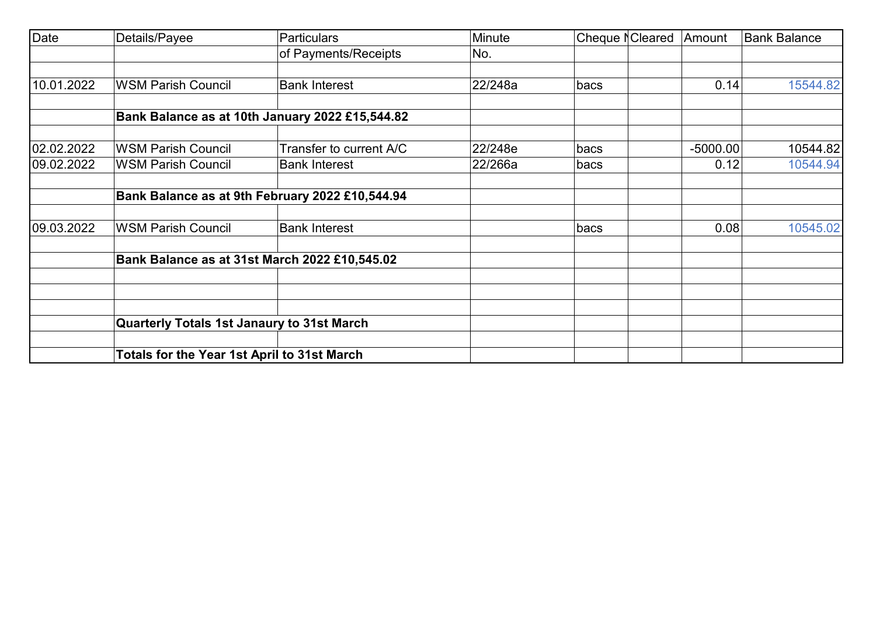| <b>Date</b> | Details/Payee                               | <b>Particulars</b>                              | Minute  | Cheque NCleared | Amount     | <b>Bank Balance</b> |
|-------------|---------------------------------------------|-------------------------------------------------|---------|-----------------|------------|---------------------|
|             |                                             | of Payments/Receipts                            | No.     |                 |            |                     |
| 10.01.2022  | <b>WSM Parish Council</b>                   | <b>Bank Interest</b>                            | 22/248a | bacs            | 0.14       | 15544.82            |
|             |                                             | Bank Balance as at 10th January 2022 £15,544.82 |         |                 |            |                     |
| 02.02.2022  | <b>WSM Parish Council</b>                   | Transfer to current A/C                         | 22/248e | bacs            | $-5000.00$ | 10544.82            |
| 09.02.2022  | <b>WSM Parish Council</b>                   | <b>Bank Interest</b>                            | 22/266a | bacs            | 0.12       | 10544.94            |
|             |                                             | Bank Balance as at 9th February 2022 £10,544.94 |         |                 |            |                     |
| 09.03.2022  | <b>WSM Parish Council</b>                   | <b>Bank Interest</b>                            |         | bacs            | 0.08       | 10545.02            |
|             |                                             | Bank Balance as at 31st March 2022 £10,545.02   |         |                 |            |                     |
|             |                                             |                                                 |         |                 |            |                     |
|             | Quarterly Totals 1st Janaury to 31st March  |                                                 |         |                 |            |                     |
|             | Totals for the Year 1st April to 31st March |                                                 |         |                 |            |                     |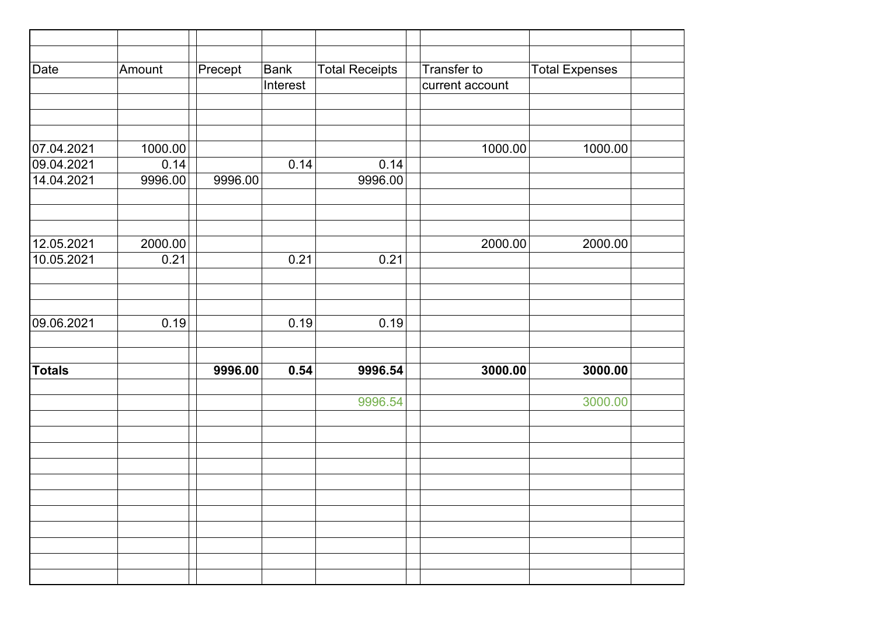| Date          | Amount  | Precept | <b>Bank</b> | <b>Total Receipts</b> | Transfer to     | <b>Total Expenses</b> |  |
|---------------|---------|---------|-------------|-----------------------|-----------------|-----------------------|--|
|               |         |         | Interest    |                       | current account |                       |  |
|               |         |         |             |                       |                 |                       |  |
|               |         |         |             |                       |                 |                       |  |
|               |         |         |             |                       |                 |                       |  |
| 07.04.2021    | 1000.00 |         |             |                       | 1000.00         | 1000.00               |  |
| 09.04.2021    | 0.14    |         | 0.14        | 0.14                  |                 |                       |  |
| 14.04.2021    | 9996.00 | 9996.00 |             | 9996.00               |                 |                       |  |
|               |         |         |             |                       |                 |                       |  |
|               |         |         |             |                       |                 |                       |  |
|               |         |         |             |                       |                 |                       |  |
| 12.05.2021    | 2000.00 |         |             |                       | 2000.00         | 2000.00               |  |
| 10.05.2021    | 0.21    |         | 0.21        | 0.21                  |                 |                       |  |
|               |         |         |             |                       |                 |                       |  |
|               |         |         |             |                       |                 |                       |  |
| 09.06.2021    | 0.19    |         | 0.19        | 0.19                  |                 |                       |  |
|               |         |         |             |                       |                 |                       |  |
|               |         |         |             |                       |                 |                       |  |
| <b>Totals</b> |         | 9996.00 | 0.54        | 9996.54               | 3000.00         | 3000.00               |  |
|               |         |         |             |                       |                 |                       |  |
|               |         |         |             | 9996.54               |                 | 3000.00               |  |
|               |         |         |             |                       |                 |                       |  |
|               |         |         |             |                       |                 |                       |  |
|               |         |         |             |                       |                 |                       |  |
|               |         |         |             |                       |                 |                       |  |
|               |         |         |             |                       |                 |                       |  |
|               |         |         |             |                       |                 |                       |  |
|               |         |         |             |                       |                 |                       |  |
|               |         |         |             |                       |                 |                       |  |
|               |         |         |             |                       |                 |                       |  |
|               |         |         |             |                       |                 |                       |  |
|               |         |         |             |                       |                 |                       |  |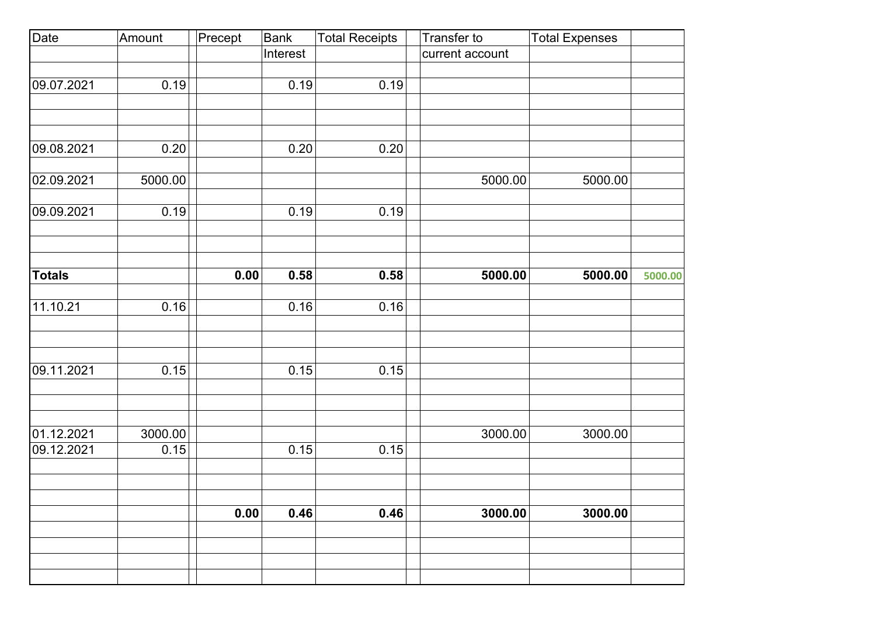| Date          | Amount  | Precept | Bank     | <b>Total Receipts</b> | Transfer to     | <b>Total Expenses</b> |         |
|---------------|---------|---------|----------|-----------------------|-----------------|-----------------------|---------|
|               |         |         | Interest |                       | current account |                       |         |
|               |         |         |          |                       |                 |                       |         |
| 09.07.2021    | 0.19    |         | 0.19     | 0.19                  |                 |                       |         |
|               |         |         |          |                       |                 |                       |         |
|               |         |         |          |                       |                 |                       |         |
| 09.08.2021    |         |         |          |                       |                 |                       |         |
|               | 0.20    |         | 0.20     | 0.20                  |                 |                       |         |
| 02.09.2021    | 5000.00 |         |          |                       | 5000.00         | 5000.00               |         |
|               |         |         |          |                       |                 |                       |         |
| 09.09.2021    | 0.19    |         | 0.19     | 0.19                  |                 |                       |         |
|               |         |         |          |                       |                 |                       |         |
|               |         |         |          |                       |                 |                       |         |
| <b>Totals</b> |         | 0.00    | 0.58     | 0.58                  | 5000.00         | 5000.00               | 5000.00 |
|               |         |         |          |                       |                 |                       |         |
| 11.10.21      | 0.16    |         | 0.16     | 0.16                  |                 |                       |         |
|               |         |         |          |                       |                 |                       |         |
|               |         |         |          |                       |                 |                       |         |
|               |         |         |          |                       |                 |                       |         |
| 09.11.2021    | 0.15    |         | 0.15     | 0.15                  |                 |                       |         |
|               |         |         |          |                       |                 |                       |         |
|               |         |         |          |                       |                 |                       |         |
| 01.12.2021    | 3000.00 |         |          |                       | 3000.00         | 3000.00               |         |
| 09.12.2021    | 0.15    |         | 0.15     | 0.15                  |                 |                       |         |
|               |         |         |          |                       |                 |                       |         |
|               |         |         |          |                       |                 |                       |         |
|               |         |         |          |                       |                 |                       |         |
|               |         | 0.00    | 0.46     | 0.46                  | 3000.00         | 3000.00               |         |
|               |         |         |          |                       |                 |                       |         |
|               |         |         |          |                       |                 |                       |         |
|               |         |         |          |                       |                 |                       |         |